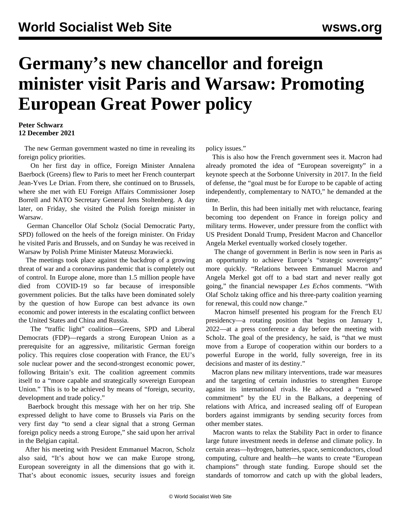## **Germany's new chancellor and foreign minister visit Paris and Warsaw: Promoting European Great Power policy**

## **Peter Schwarz 12 December 2021**

 The new German government wasted no time in revealing its foreign policy priorities.

 On her first day in office, Foreign Minister Annalena Baerbock (Greens) flew to Paris to meet her French counterpart Jean-Yves Le Drian. From there, she continued on to Brussels, where she met with EU Foreign Affairs Commissioner Josep Borrell and NATO Secretary General Jens Stoltenberg. A day later, on Friday, she visited the Polish foreign minister in Warsaw.

 German Chancellor Olaf Scholz (Social Democratic Party, SPD) followed on the heels of the foreign minister. On Friday he visited Paris and Brussels, and on Sunday he was received in Warsaw by Polish Prime Minister Mateusz Morawiecki.

 The meetings took place against the backdrop of a growing threat of war and a coronavirus pandemic that is completely out of control. In Europe alone, more than 1.5 million people have died from COVID-19 so far because of irresponsible government policies. But the talks have been dominated solely by the question of how Europe can best advance its own economic and power interests in the escalating conflict between the United States and China and Russia.

 The "traffic light" coalition—Greens, SPD and Liberal Democrats (FDP)—regards a strong European Union as a prerequisite for an aggressive, militaristic German foreign policy. This requires close cooperation with France, the EU's sole nuclear power and the second-strongest economic power, following Britain's exit. The coalition agreement commits itself to a "more capable and strategically sovereign European Union." This is to be achieved by means of "foreign, security, development and trade policy."

 Baerbock brought this message with her on her trip. She expressed delight to have come to Brussels via Paris on the very first day "to send a clear signal that a strong German foreign policy needs a strong Europe," she said upon her arrival in the Belgian capital.

 After his meeting with President Emmanuel Macron, Scholz also said, "It's about how we can make Europe strong, European sovereignty in all the dimensions that go with it. That's about economic issues, security issues and foreign policy issues."

 This is also how the French government sees it. Macron had already promoted the idea of "European sovereignty" in a keynote speech at the Sorbonne University in 2017. In the field of defense, the "goal must be for Europe to be capable of acting independently, complementary to NATO," he demanded at the time.

 In Berlin, this had been initially met with reluctance, fearing becoming too dependent on France in foreign policy and military terms. However, under pressure from the conflict with US President Donald Trump, President Macron and Chancellor Angela Merkel eventually worked closely together.

 The change of government in Berlin is now seen in Paris as an opportunity to achieve Europe's "strategic sovereignty" more quickly. "Relations between Emmanuel Macron and Angela Merkel got off to a bad start and never really got going," the financial newspaper *Les Echos* comments. "With Olaf Scholz taking office and his three-party coalition yearning for renewal, this could now change."

 Macron himself presented his program for the French EU presidency—a rotating position that begins on January 1, 2022—at a press conference a day before the meeting with Scholz. The goal of the presidency, he said, is "that we must move from a Europe of cooperation within our borders to a powerful Europe in the world, fully sovereign, free in its decisions and master of its destiny."

 Macron plans new military interventions, trade war measures and the targeting of certain industries to strengthen Europe against its international rivals. He advocated a "renewed commitment" by the EU in the Balkans, a deepening of relations with Africa, and increased sealing off of European borders against immigrants by sending security forces from other member states.

 Macron wants to relax the Stability Pact in order to finance large future investment needs in defense and climate policy. In certain areas—hydrogen, batteries, space, semiconductors, cloud computing, culture and health—he wants to create "European champions" through state funding. Europe should set the standards of tomorrow and catch up with the global leaders,